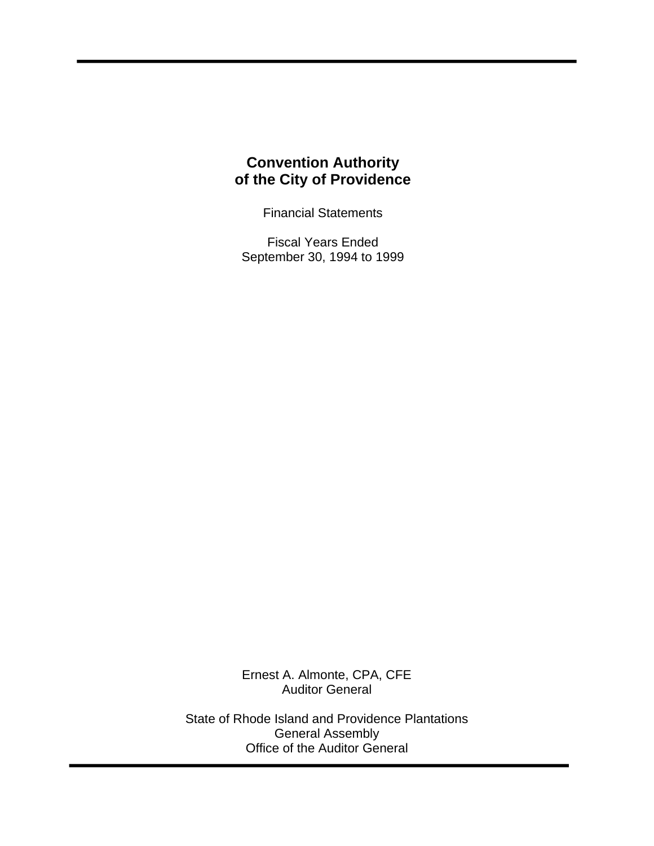# **Convention Authority of the City of Providence**

Financial Statements

Fiscal Years Ended September 30, 1994 to 1999

Ernest A. Almonte, CPA, CFE Auditor General

State of Rhode Island and Providence Plantations General Assembly Office of the Auditor General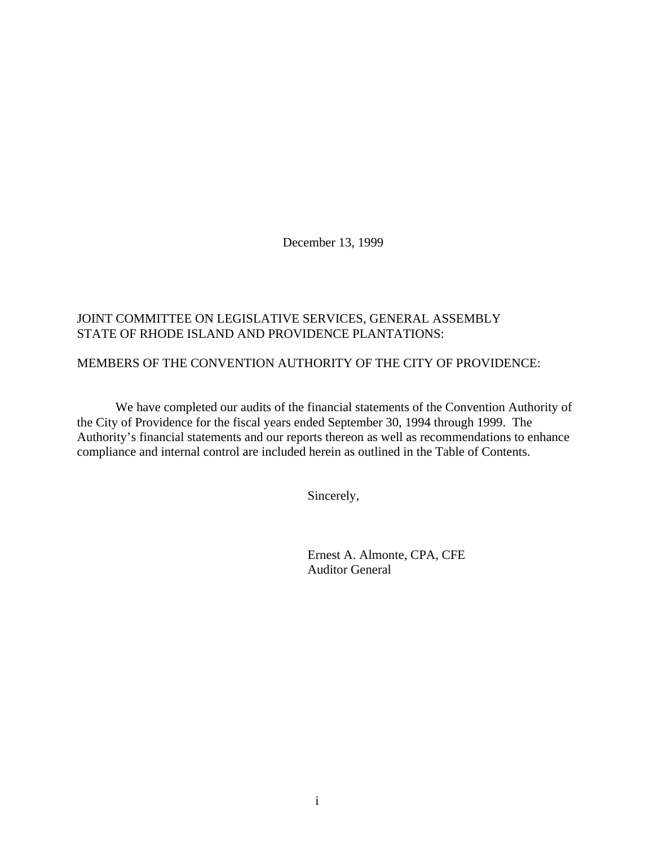December 13, 1999

# JOINT COMMITTEE ON LEGISLATIVE SERVICES, GENERAL ASSEMBLY STATE OF RHODE ISLAND AND PROVIDENCE PLANTATIONS:

# MEMBERS OF THE CONVENTION AUTHORITY OF THE CITY OF PROVIDENCE:

We have completed our audits of the financial statements of the Convention Authority of the City of Providence for the fiscal years ended September 30, 1994 through 1999. The Authority's financial statements and our reports thereon as well as recommendations to enhance compliance and internal control are included herein as outlined in the Table of Contents.

Sincerely,

Ernest A. Almonte, CPA, CFE Auditor General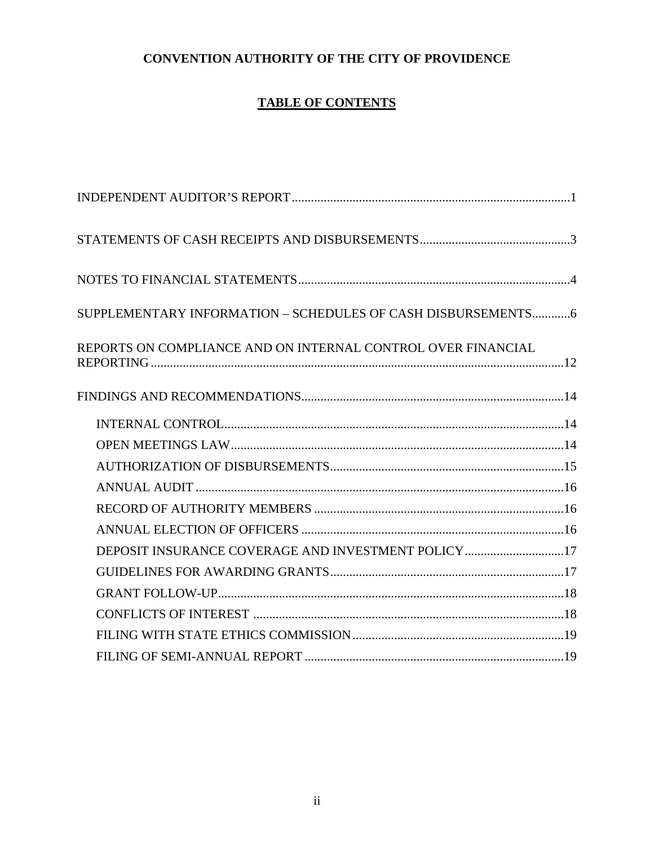# **CONVENTION AUTHORITY OF THE CITY OF PROVIDENCE**

# **TABLE OF CONTENTS**

| SUPPLEMENTARY INFORMATION - SCHEDULES OF CASH DISBURSEMENTS6 |  |
|--------------------------------------------------------------|--|
| REPORTS ON COMPLIANCE AND ON INTERNAL CONTROL OVER FINANCIAL |  |
|                                                              |  |
|                                                              |  |
|                                                              |  |
|                                                              |  |
|                                                              |  |
|                                                              |  |
|                                                              |  |
| DEPOSIT INSURANCE COVERAGE AND INVESTMENT POLICY 17          |  |
|                                                              |  |
|                                                              |  |
|                                                              |  |
|                                                              |  |
|                                                              |  |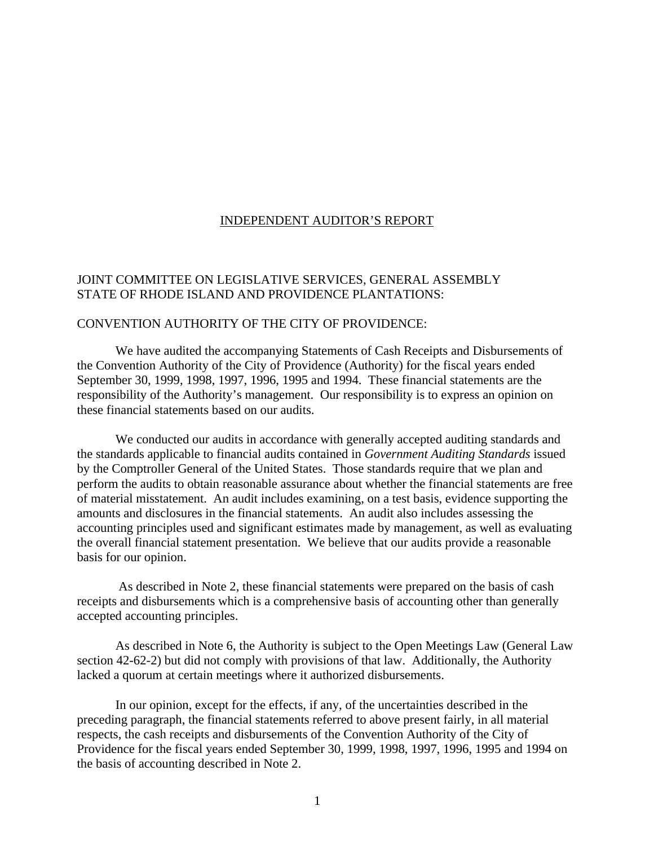#### INDEPENDENT AUDITOR'S REPORT

#### JOINT COMMITTEE ON LEGISLATIVE SERVICES, GENERAL ASSEMBLY STATE OF RHODE ISLAND AND PROVIDENCE PLANTATIONS:

#### CONVENTION AUTHORITY OF THE CITY OF PROVIDENCE:

We have audited the accompanying Statements of Cash Receipts and Disbursements of the Convention Authority of the City of Providence (Authority) for the fiscal years ended September 30, 1999, 1998, 1997, 1996, 1995 and 1994. These financial statements are the responsibility of the Authority's management. Our responsibility is to express an opinion on these financial statements based on our audits.

We conducted our audits in accordance with generally accepted auditing standards and the standards applicable to financial audits contained in *Government Auditing Standards* issued by the Comptroller General of the United States. Those standards require that we plan and perform the audits to obtain reasonable assurance about whether the financial statements are free of material misstatement. An audit includes examining, on a test basis, evidence supporting the amounts and disclosures in the financial statements. An audit also includes assessing the accounting principles used and significant estimates made by management, as well as evaluating the overall financial statement presentation. We believe that our audits provide a reasonable basis for our opinion.

 As described in Note 2, these financial statements were prepared on the basis of cash receipts and disbursements which is a comprehensive basis of accounting other than generally accepted accounting principles.

As described in Note 6, the Authority is subject to the Open Meetings Law (General Law section 42-62-2) but did not comply with provisions of that law. Additionally, the Authority lacked a quorum at certain meetings where it authorized disbursements.

In our opinion, except for the effects, if any, of the uncertainties described in the preceding paragraph, the financial statements referred to above present fairly, in all material respects, the cash receipts and disbursements of the Convention Authority of the City of Providence for the fiscal years ended September 30, 1999, 1998, 1997, 1996, 1995 and 1994 on the basis of accounting described in Note 2.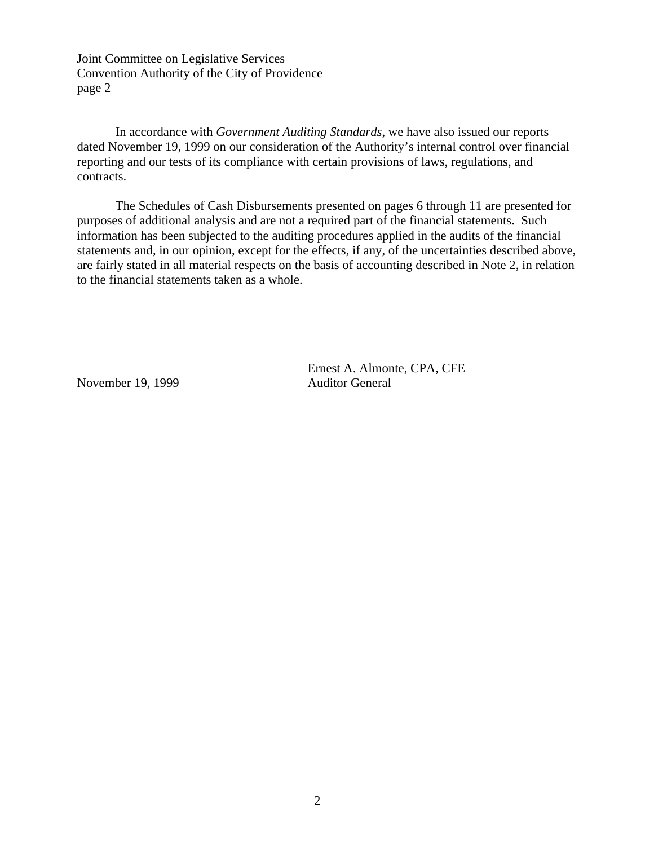Joint Committee on Legislative Services Convention Authority of the City of Providence page 2

In accordance with *Government Auditing Standards*, we have also issued our reports dated November 19, 1999 on our consideration of the Authority's internal control over financial reporting and our tests of its compliance with certain provisions of laws, regulations, and contracts.

The Schedules of Cash Disbursements presented on pages 6 through 11 are presented for purposes of additional analysis and are not a required part of the financial statements. Such information has been subjected to the auditing procedures applied in the audits of the financial statements and, in our opinion, except for the effects, if any, of the uncertainties described above, are fairly stated in all material respects on the basis of accounting described in Note 2, in relation to the financial statements taken as a whole.

November 19, 1999 Auditor General

Ernest A. Almonte, CPA, CFE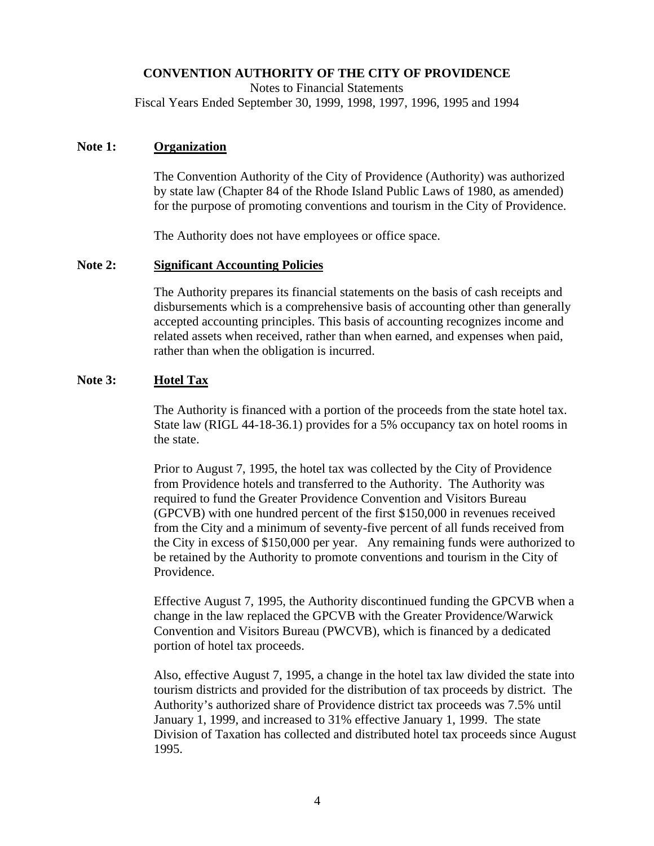# **CONVENTION AUTHORITY OF THE CITY OF PROVIDENCE**

Notes to Financial Statements

Fiscal Years Ended September 30, 1999, 1998, 1997, 1996, 1995 and 1994

### **Note 1: Organization**

The Convention Authority of the City of Providence (Authority) was authorized by state law (Chapter 84 of the Rhode Island Public Laws of 1980, as amended) for the purpose of promoting conventions and tourism in the City of Providence.

The Authority does not have employees or office space.

### **Note 2: Significant Accounting Policies**

The Authority prepares its financial statements on the basis of cash receipts and disbursements which is a comprehensive basis of accounting other than generally accepted accounting principles. This basis of accounting recognizes income and related assets when received, rather than when earned, and expenses when paid, rather than when the obligation is incurred.

### **Note 3: Hotel Tax**

The Authority is financed with a portion of the proceeds from the state hotel tax. State law (RIGL 44-18-36.1) provides for a 5% occupancy tax on hotel rooms in the state.

Prior to August 7, 1995, the hotel tax was collected by the City of Providence from Providence hotels and transferred to the Authority. The Authority was required to fund the Greater Providence Convention and Visitors Bureau (GPCVB) with one hundred percent of the first \$150,000 in revenues received from the City and a minimum of seventy-five percent of all funds received from the City in excess of \$150,000 per year. Any remaining funds were authorized to be retained by the Authority to promote conventions and tourism in the City of Providence.

Effective August 7, 1995, the Authority discontinued funding the GPCVB when a change in the law replaced the GPCVB with the Greater Providence/Warwick Convention and Visitors Bureau (PWCVB), which is financed by a dedicated portion of hotel tax proceeds.

Also, effective August 7, 1995, a change in the hotel tax law divided the state into tourism districts and provided for the distribution of tax proceeds by district. The Authority's authorized share of Providence district tax proceeds was 7.5% until January 1, 1999, and increased to 31% effective January 1, 1999. The state Division of Taxation has collected and distributed hotel tax proceeds since August 1995.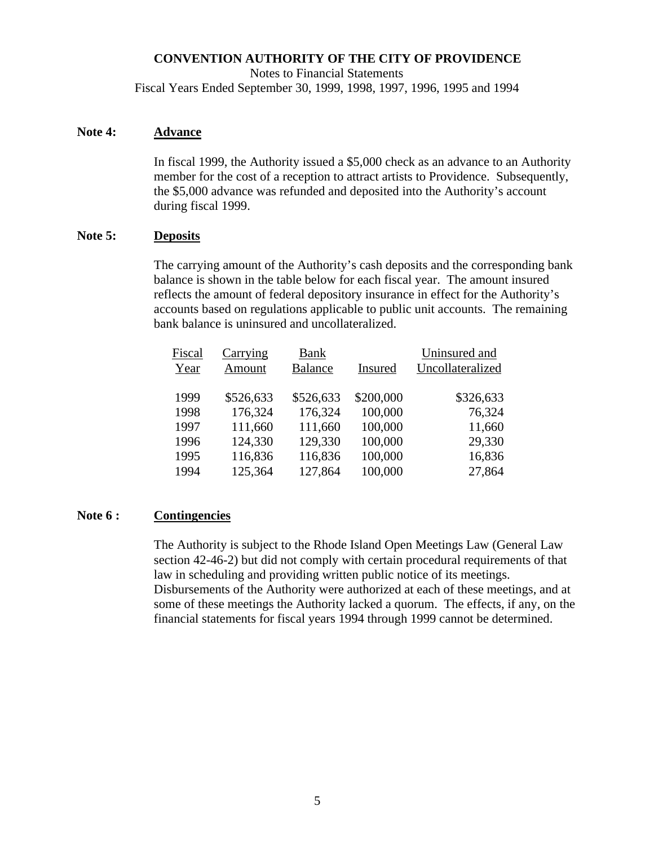### **CONVENTION AUTHORITY OF THE CITY OF PROVIDENCE**

Notes to Financial Statements

Fiscal Years Ended September 30, 1999, 1998, 1997, 1996, 1995 and 1994

#### **Note 4: Advance**

In fiscal 1999, the Authority issued a \$5,000 check as an advance to an Authority member for the cost of a reception to attract artists to Providence. Subsequently, the \$5,000 advance was refunded and deposited into the Authority's account during fiscal 1999.

#### **Note 5: Deposits**

The carrying amount of the Authority's cash deposits and the corresponding bank balance is shown in the table below for each fiscal year. The amount insured reflects the amount of federal depository insurance in effect for the Authority's accounts based on regulations applicable to public unit accounts. The remaining bank balance is uninsured and uncollateralized.

| Fiscal<br>Year | Carrying<br>Amount | <b>Bank</b><br><b>Balance</b> | Insured   | Uninsured and<br>Uncollateralized |
|----------------|--------------------|-------------------------------|-----------|-----------------------------------|
| 1999           | \$526,633          | \$526,633                     | \$200,000 | \$326,633                         |
| 1998           | 176,324            | 176,324                       | 100,000   | 76,324                            |
| 1997           | 111,660            | 111,660                       | 100,000   | 11,660                            |
| 1996           | 124,330            | 129,330                       | 100,000   | 29,330                            |
| 1995           | 116,836            | 116,836                       | 100,000   | 16,836                            |
| 1994           | 125,364            | 127,864                       | 100,000   | 27,864                            |
|                |                    |                               |           |                                   |

#### **Note 6 : Contingencies**

The Authority is subject to the Rhode Island Open Meetings Law (General Law section 42-46-2) but did not comply with certain procedural requirements of that law in scheduling and providing written public notice of its meetings. Disbursements of the Authority were authorized at each of these meetings, and at some of these meetings the Authority lacked a quorum. The effects, if any, on the financial statements for fiscal years 1994 through 1999 cannot be determined.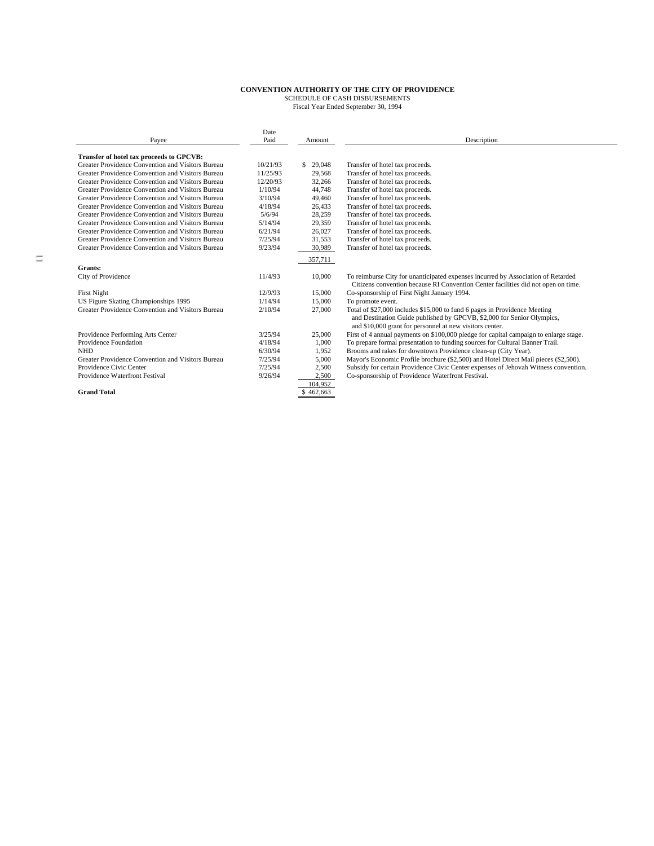|                                                   | Date     |              |                                                                                       |
|---------------------------------------------------|----------|--------------|---------------------------------------------------------------------------------------|
| Pavee                                             | Paid     | Amount       | Description                                                                           |
|                                                   |          |              |                                                                                       |
| Transfer of hotel tax proceeds to GPCVB:          |          |              |                                                                                       |
| Greater Providence Convention and Visitors Bureau | 10/21/93 | 29,048<br>S. | Transfer of hotel tax proceeds.                                                       |
| Greater Providence Convention and Visitors Bureau | 11/25/93 | 29,568       | Transfer of hotel tax proceeds.                                                       |
| Greater Providence Convention and Visitors Bureau | 12/20/93 | 32,266       | Transfer of hotel tax proceeds.                                                       |
| Greater Providence Convention and Visitors Bureau | 1/10/94  | 44,748       | Transfer of hotel tax proceeds.                                                       |
| Greater Providence Convention and Visitors Bureau | 3/10/94  | 49,460       | Transfer of hotel tax proceeds.                                                       |
| Greater Providence Convention and Visitors Bureau | 4/18/94  | 26,433       | Transfer of hotel tax proceeds.                                                       |
| Greater Providence Convention and Visitors Bureau | 5/6/94   | 28,259       | Transfer of hotel tax proceeds.                                                       |
| Greater Providence Convention and Visitors Bureau | 5/14/94  | 29,359       | Transfer of hotel tax proceeds.                                                       |
| Greater Providence Convention and Visitors Bureau | 6/21/94  | 26,027       | Transfer of hotel tax proceeds.                                                       |
| Greater Providence Convention and Visitors Bureau | 7/25/94  | 31,553       | Transfer of hotel tax proceeds.                                                       |
| Greater Providence Convention and Visitors Bureau | 9/23/94  | 30,989       | Transfer of hotel tax proceeds.                                                       |
|                                                   |          | 357,711      |                                                                                       |
| Grants:                                           |          |              |                                                                                       |
| City of Providence                                | 11/4/93  | 10,000       | To reimburse City for unanticipated expenses incurred by Association of Retarded      |
|                                                   |          |              | Citizens convention because RI Convention Center facilities did not open on time.     |
| <b>First Night</b>                                | 12/9/93  | 15,000       | Co-sponsorship of First Night January 1994.                                           |
| US Figure Skating Championships 1995              | 1/14/94  | 15.000       | To promote event.                                                                     |
| Greater Providence Convention and Visitors Bureau | 2/10/94  |              |                                                                                       |
|                                                   |          | 27,000       | Total of \$27,000 includes \$15,000 to fund 6 pages in Providence Meeting             |
|                                                   |          |              | and Destination Guide published by GPCVB, \$2,000 for Senior Olympics,                |
|                                                   |          |              | and \$10,000 grant for personnel at new visitors center.                              |
| Providence Performing Arts Center                 | 3/25/94  | 25,000       | First of 4 annual payments on \$100,000 pledge for capital campaign to enlarge stage. |
| Providence Foundation                             | 4/18/94  | 1.000        | To prepare formal presentation to funding sources for Cultural Banner Trail.          |
| <b>NHD</b>                                        | 6/30/94  | 1,952        | Brooms and rakes for downtown Providence clean-up (City Year).                        |
| Greater Providence Convention and Visitors Bureau | 7/25/94  | 5.000        | Mayor's Economic Profile brochure (\$2,500) and Hotel Direct Mail pieces (\$2,500).   |
| Providence Civic Center                           | 7/25/94  | 2,500        | Subsidy for certain Providence Civic Center expenses of Jehovah Witness convention.   |
| Providence Waterfront Festival                    | 9/26/94  | 2.500        | Co-sponsorship of Providence Waterfront Festival.                                     |
|                                                   |          | 104.952      |                                                                                       |
| <b>Grand Total</b>                                |          | \$462,663    |                                                                                       |
|                                                   |          |              |                                                                                       |

 $\equiv$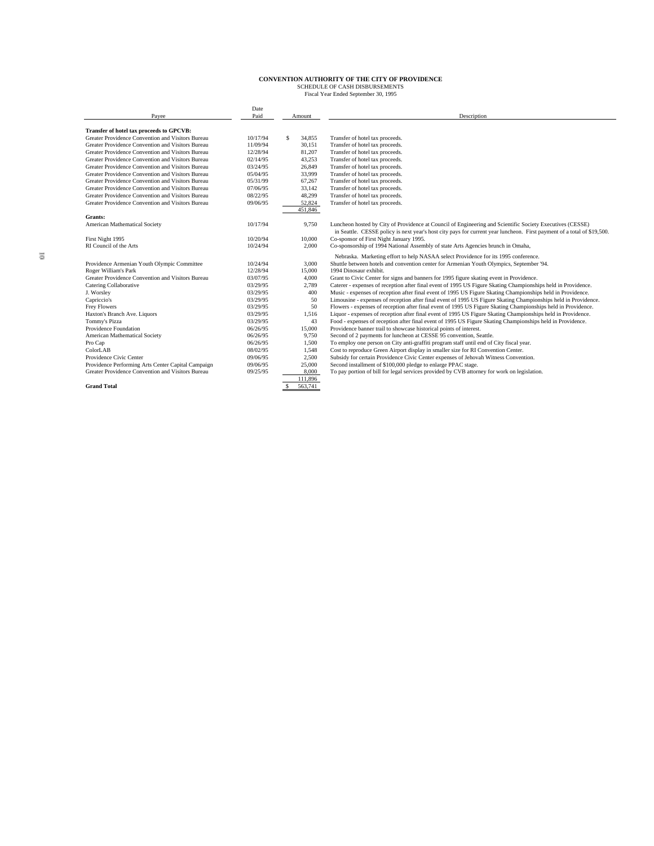|                                                    | Date     |               |         |                                                                                                                         |
|----------------------------------------------------|----------|---------------|---------|-------------------------------------------------------------------------------------------------------------------------|
| Pavee                                              | Paid     |               | Amount  | Description                                                                                                             |
| Transfer of hotel tax proceeds to GPCVB:           |          |               |         |                                                                                                                         |
| Greater Providence Convention and Visitors Bureau  | 10/17/94 | $\mathcal{S}$ | 34,855  | Transfer of hotel tax proceeds.                                                                                         |
| Greater Providence Convention and Visitors Bureau  | 11/09/94 |               | 30,151  | Transfer of hotel tax proceeds.                                                                                         |
| Greater Providence Convention and Visitors Bureau  | 12/28/94 |               | 81.207  | Transfer of hotel tax proceeds.                                                                                         |
| Greater Providence Convention and Visitors Bureau  | 02/14/95 |               | 43.253  | Transfer of hotel tax proceeds.                                                                                         |
| Greater Providence Convention and Visitors Bureau  | 03/24/95 |               | 26.849  | Transfer of hotel tax proceeds.                                                                                         |
| Greater Providence Convention and Visitors Bureau  | 05/04/95 |               | 33,999  | Transfer of hotel tax proceeds.                                                                                         |
| Greater Providence Convention and Visitors Bureau  | 05/31/99 |               | 67,267  | Transfer of hotel tax proceeds.                                                                                         |
| Greater Providence Convention and Visitors Bureau  | 07/06/95 |               | 33,142  | Transfer of hotel tax proceeds.                                                                                         |
| Greater Providence Convention and Visitors Bureau  | 08/22/95 |               | 48.299  | Transfer of hotel tax proceeds.                                                                                         |
| Greater Providence Convention and Visitors Bureau  | 09/06/95 |               | 52.824  | Transfer of hotel tax proceeds.                                                                                         |
|                                                    |          |               | 451.846 |                                                                                                                         |
| Grants:                                            |          |               |         |                                                                                                                         |
| American Mathematical Society                      | 10/17/94 |               | 9,750   | Luncheon hosted by City of Providence at Council of Engineering and Scientific Society Executives (CESSE)               |
|                                                    |          |               |         | in Seattle. CESSE policy is next year's host city pays for current year luncheon. First payment of a total of \$19,500. |
| First Night 1995                                   | 10/20/94 |               | 10,000  | Co-sponsor of First Night January 1995.                                                                                 |
| RI Council of the Arts                             | 10/24/94 |               | 2.000   | Co-sponsorship of 1994 National Assembly of state Arts Agencies brunch in Omaha,                                        |
|                                                    |          |               |         | Nebraska. Marketing effort to help NASAA select Providence for its 1995 conference.                                     |
| Providence Armenian Youth Olympic Committee        | 10/24/94 |               | 3,000   | Shuttle between hotels and convention center for Armenian Youth Olympics, September '94.                                |
| Roger William's Park                               | 12/28/94 |               | 15,000  | 1994 Dinosaur exhibit.                                                                                                  |
| Greater Providence Convention and Visitors Bureau  | 03/07/95 |               | 4.000   | Grant to Civic Center for signs and banners for 1995 figure skating event in Providence.                                |
| <b>Catering Collaborative</b>                      | 03/29/95 |               | 2.789   | Caterer - expenses of reception after final event of 1995 US Figure Skating Championships held in Providence.           |
| J. Worsley                                         | 03/29/95 |               | 400     | Music - expenses of reception after final event of 1995 US Figure Skating Championships held in Providence.             |
| Capriccio's                                        | 03/29/95 |               | 50      | Limousine - expenses of reception after final event of 1995 US Figure Skating Championships held in Providence.         |
| <b>Frey Flowers</b>                                | 03/29/95 |               | 50      | Flowers - expenses of reception after final event of 1995 US Figure Skating Championships held in Providence.           |
| Haxton's Branch Ave. Liquors                       | 03/29/95 |               | 1.516   | Liquor - expenses of reception after final event of 1995 US Figure Skating Championships held in Providence.            |
| Tommy's Pizza                                      | 03/29/95 |               | 43      | Food - expenses of reception after final event of 1995 US Figure Skating Championships held in Providence.              |
| Providence Foundation                              | 06/26/95 |               | 15,000  | Providence banner trail to showcase historical points of interest.                                                      |
| American Mathematical Society                      | 06/26/95 |               | 9.750   | Second of 2 payments for luncheon at CESSE 95 convention, Seattle.                                                      |
| Pro Cap                                            | 06/26/95 |               | 1,500   | To employ one person on City anti-graffiti program staff until end of City fiscal year.                                 |
| ColorLAB                                           | 08/02/95 |               | 1.548   | Cost to reproduce Green Airport display in smaller size for RI Convention Center.                                       |
| Providence Civic Center                            | 09/06/95 |               | 2.500   | Subsidy for certain Providence Civic Center expenses of Jehovah Witness Convention.                                     |
| Providence Performing Arts Center Capital Campaign | 09/06/95 |               | 25,000  | Second installment of \$100,000 pledge to enlarge PPAC stage.                                                           |
| Greater Providence Convention and Visitors Bureau  | 09/25/95 |               | 8,000   | To pay portion of bill for legal services provided by CVB attorney for work on legislation.                             |
|                                                    |          |               | 111,896 |                                                                                                                         |
| <b>Grand Total</b>                                 |          |               | 563,741 |                                                                                                                         |
|                                                    |          |               |         |                                                                                                                         |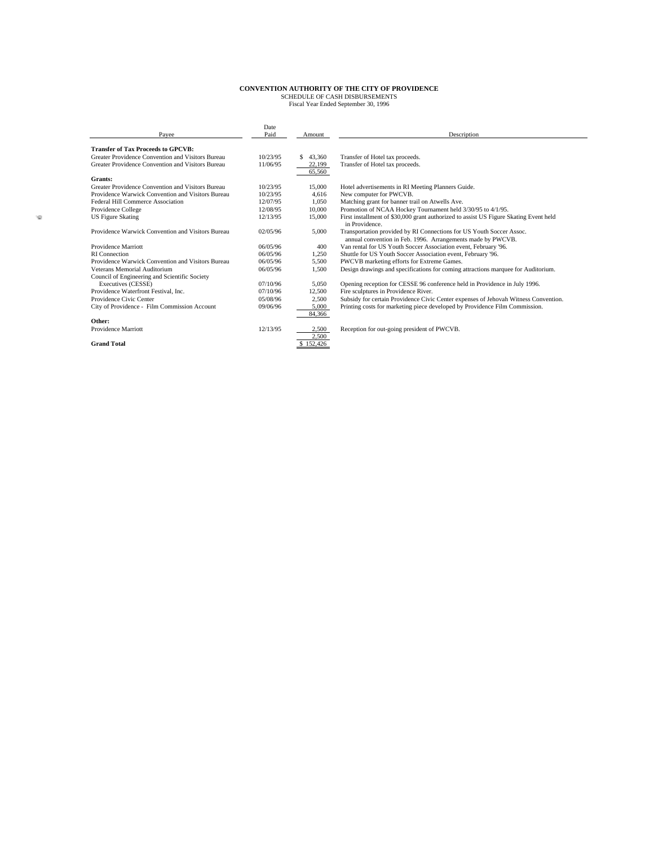|                                                   | Date<br>Paid |              | Description                                                                                                                         |
|---------------------------------------------------|--------------|--------------|-------------------------------------------------------------------------------------------------------------------------------------|
| Payee                                             |              | Amount       |                                                                                                                                     |
| <b>Transfer of Tax Proceeds to GPCVB:</b>         |              |              |                                                                                                                                     |
| Greater Providence Convention and Visitors Bureau | 10/23/95     | 43.360<br>S. | Transfer of Hotel tax proceeds.                                                                                                     |
| Greater Providence Convention and Visitors Bureau | 11/06/95     | 22,199       | Transfer of Hotel tax proceeds.                                                                                                     |
|                                                   |              | 65,560       |                                                                                                                                     |
| Grants:                                           |              |              |                                                                                                                                     |
| Greater Providence Convention and Visitors Bureau | 10/23/95     | 15,000       | Hotel advertisements in RI Meeting Planners Guide.                                                                                  |
| Providence Warwick Convention and Visitors Bureau | 10/23/95     | 4.616        | New computer for PWCVB.                                                                                                             |
| Federal Hill Commerce Association                 | 12/07/95     | 1,050        | Matching grant for banner trail on Atwells Ave.                                                                                     |
| Providence College                                | 12/08/95     | 10,000       | Promotion of NCAA Hockey Tournament held 3/30/95 to 4/1/95.                                                                         |
| <b>US Figure Skating</b>                          | 12/13/95     | 15,000       | First installment of \$30,000 grant authorized to assist US Figure Skating Event held<br>in Providence.                             |
| Providence Warwick Convention and Visitors Bureau | 02/05/96     | 5.000        | Transportation provided by RI Connections for US Youth Soccer Assoc.<br>annual convention in Feb. 1996. Arrangements made by PWCVB. |
| Providence Marriott                               | 06/05/96     | 400          | Van rental for US Youth Soccer Association event, February '96.                                                                     |
| RI Connection                                     | 06/05/96     | 1.250        | Shuttle for US Youth Soccer Association event, February '96.                                                                        |
| Providence Warwick Convention and Visitors Bureau | 06/05/96     | 5.500        | PWCVB marketing efforts for Extreme Games.                                                                                          |
| Veterans Memorial Auditorium                      | 06/05/96     | 1.500        | Design drawings and specifications for coming attractions marquee for Auditorium.                                                   |
| Council of Engineering and Scientific Society     |              |              |                                                                                                                                     |
| Executives (CESSE)                                | 07/10/96     | 5.050        | Opening reception for CESSE 96 conference held in Providence in July 1996.                                                          |
| Providence Waterfront Festival, Inc.              | 07/10/96     | 12.500       | Fire sculptures in Providence River.                                                                                                |
| Providence Civic Center                           | 05/08/96     | 2.500        | Subsidy for certain Providence Civic Center expenses of Jehovah Witness Convention.                                                 |
| City of Providence - Film Commission Account      | 09/06/96     | 5.000        | Printing costs for marketing piece developed by Providence Film Commission.                                                         |
|                                                   |              | 84,366       |                                                                                                                                     |
| Other:                                            |              |              |                                                                                                                                     |
| Providence Marriott                               | 12/13/95     | 2.500        | Reception for out-going president of PWCVB.                                                                                         |
|                                                   |              | 2.500        |                                                                                                                                     |
| <b>Grand Total</b>                                |              | \$152,426    |                                                                                                                                     |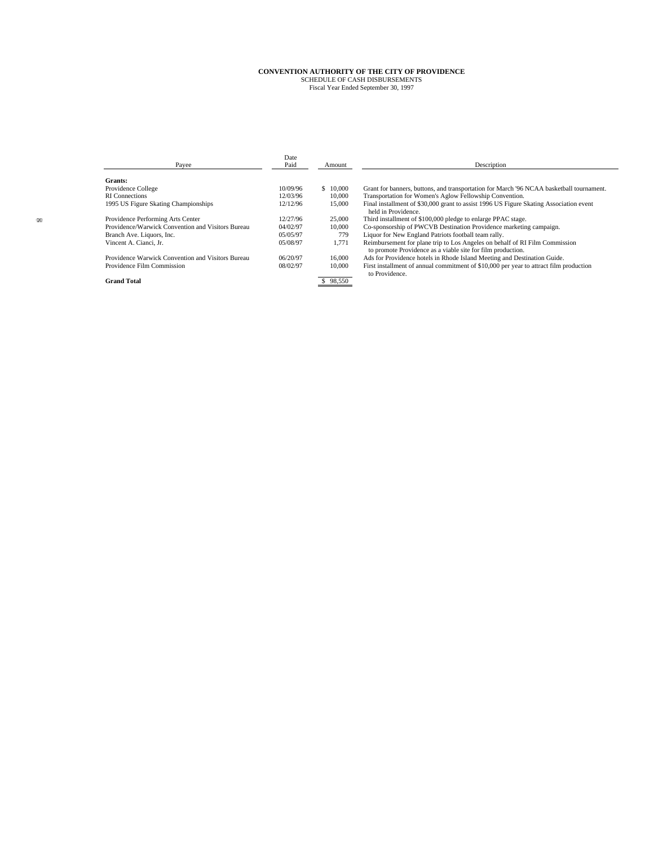| Payee                                             | Date<br>Paid | Amount   | Description                                                                                                                                |  |  |  |  |  |  |
|---------------------------------------------------|--------------|----------|--------------------------------------------------------------------------------------------------------------------------------------------|--|--|--|--|--|--|
| Grants:                                           |              |          |                                                                                                                                            |  |  |  |  |  |  |
| Providence College                                | 10/09/96     | \$10,000 | Grant for banners, buttons, and transportation for March '96 NCAA basketball tournament.                                                   |  |  |  |  |  |  |
| <b>RI</b> Connections                             | 12/03/96     | 10,000   | Transportation for Women's Aglow Fellowship Convention.                                                                                    |  |  |  |  |  |  |
| 1995 US Figure Skating Championships              | 12/12/96     | 15,000   | Final installment of \$30,000 grant to assist 1996 US Figure Skating Association event<br>held in Providence.                              |  |  |  |  |  |  |
| Providence Performing Arts Center                 | 12/27/96     | 25,000   | Third installment of \$100,000 pledge to enlarge PPAC stage.                                                                               |  |  |  |  |  |  |
| Providence/Warwick Convention and Visitors Bureau | 04/02/97     | 10,000   | Co-sponsorship of PWCVB Destination Providence marketing campaign.                                                                         |  |  |  |  |  |  |
| Branch Ave. Liquors, Inc.                         | 05/05/97     | 779      | Liquor for New England Patriots football team rally.                                                                                       |  |  |  |  |  |  |
| Vincent A. Cianci, Jr.                            | 05/08/97     | 1.771    | Reimbursement for plane trip to Los Angeles on behalf of RI Film Commission<br>to promote Providence as a viable site for film production. |  |  |  |  |  |  |
| Providence Warwick Convention and Visitors Bureau | 06/20/97     | 16,000   | Ads for Providence hotels in Rhode Island Meeting and Destination Guide.                                                                   |  |  |  |  |  |  |
| Providence Film Commission                        | 08/02/97     | 10,000   | First installment of annual commitment of \$10,000 per year to attract film production<br>to Providence.                                   |  |  |  |  |  |  |
| <b>Grand Total</b>                                |              | 98.550   |                                                                                                                                            |  |  |  |  |  |  |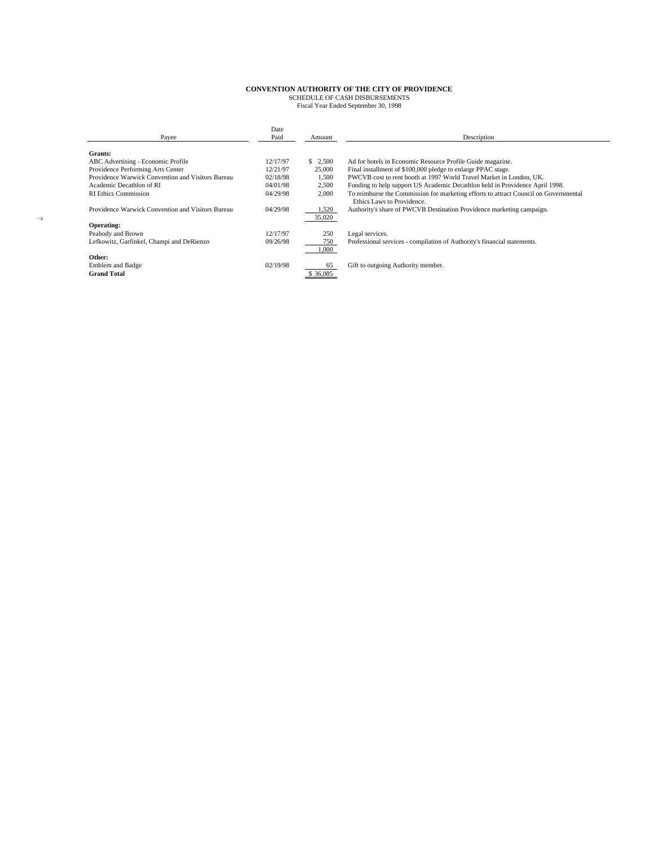| Payee                                             | Date<br>Paid | Amount    | Description                                                                          |
|---------------------------------------------------|--------------|-----------|--------------------------------------------------------------------------------------|
| Grants:                                           |              |           |                                                                                      |
| ABC Advertising - Economic Profile                | 12/17/97     | \$2,500   | Ad for hotels in Economic Resource Profile Guide magazine.                           |
| Providence Performing Arts Center                 | 12/21/97     | 25,000    | Final installment of \$100,000 pledge to enlarge PPAC stage.                         |
| Providence Warwick Convention and Visitors Bureau | 02/18/98     | 1,500     | PWCVB cost to rent booth at 1997 World Travel Market in London, UK.                  |
| Academic Decathlon of RI                          | 04/01/98     | 2,500     | Funding to help support US Academic Decathlon held in Providence April 1998.         |
| <b>RI Ethics Commission</b>                       | 04/29/98     | 2,000     | To reimburse the Commission for marketing efforts to attract Council on Governmental |
|                                                   |              |           | Ethics Laws to Providence.                                                           |
| Providence Warwick Convention and Visitors Bureau | 04/29/98     | 1,520     | Authority's share of PWCVB Destination Providence marketing campaign.                |
|                                                   |              | 35,020    |                                                                                      |
| Operating:                                        |              |           |                                                                                      |
| Peabody and Brown                                 | 12/17/97     | 250       | Legal services.                                                                      |
| Lefkowitz, Garfinkel, Champi and DeRienzo         | 09/26/98     | 750       | Professional services - compilation of Authority's financial statements.             |
|                                                   |              | 1,000     |                                                                                      |
| Other:                                            |              |           |                                                                                      |
| Emblem and Badge                                  | 02/19/98     | 65        | Gift to outgoing Authority member.                                                   |
| <b>Grand Total</b>                                |              | \$ 36,085 |                                                                                      |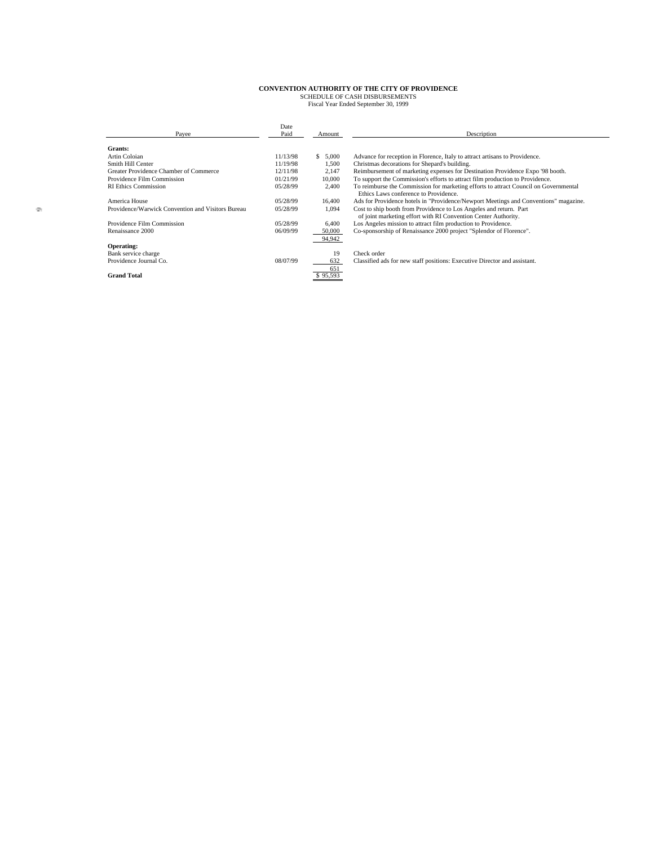| Payee                                             | Date<br>Paid | Amount           | Description                                                                                                                          |
|---------------------------------------------------|--------------|------------------|--------------------------------------------------------------------------------------------------------------------------------------|
| Grants:                                           |              |                  |                                                                                                                                      |
| Artin Coloian                                     | 11/13/98     | \$5,000          | Advance for reception in Florence, Italy to attract artisans to Providence.                                                          |
| Smith Hill Center                                 | 11/19/98     | 1,500            | Christmas decorations for Shepard's building.                                                                                        |
| Greater Providence Chamber of Commerce            | 12/11/98     | 2,147            | Reimbursement of marketing expenses for Destination Providence Expo '98 booth.                                                       |
| Providence Film Commission                        | 01/21/99     | 10,000           | To support the Commission's efforts to attract film production to Providence.                                                        |
| <b>RI Ethics Commission</b>                       | 05/28/99     | 2,400            | To reimburse the Commission for marketing efforts to attract Council on Governmental<br>Ethics Laws conference to Providence.        |
| America House                                     | 05/28/99     | 16,400           | Ads for Providence hotels in "Providence/Newport Meetings and Conventions" magazine.                                                 |
| Providence/Warwick Convention and Visitors Bureau | 05/28/99     | 1.094            | Cost to ship booth from Providence to Los Angeles and return. Part<br>of joint marketing effort with RI Convention Center Authority. |
| Providence Film Commission                        | 05/28/99     | 6,400            | Los Angeles mission to attract film production to Providence.                                                                        |
| Renaissance 2000                                  | 06/09/99     | 50,000<br>94,942 | Co-sponsorship of Renaissance 2000 project "Splendor of Florence".                                                                   |
| Operating:                                        |              |                  |                                                                                                                                      |
| Bank service charge                               |              | 19               | Check order                                                                                                                          |
| Providence Journal Co.                            | 08/07/99     | 632              | Classified ads for new staff positions: Executive Director and assistant.                                                            |
|                                                   |              | 651              |                                                                                                                                      |
| <b>Grand Total</b>                                |              | \$95,593         |                                                                                                                                      |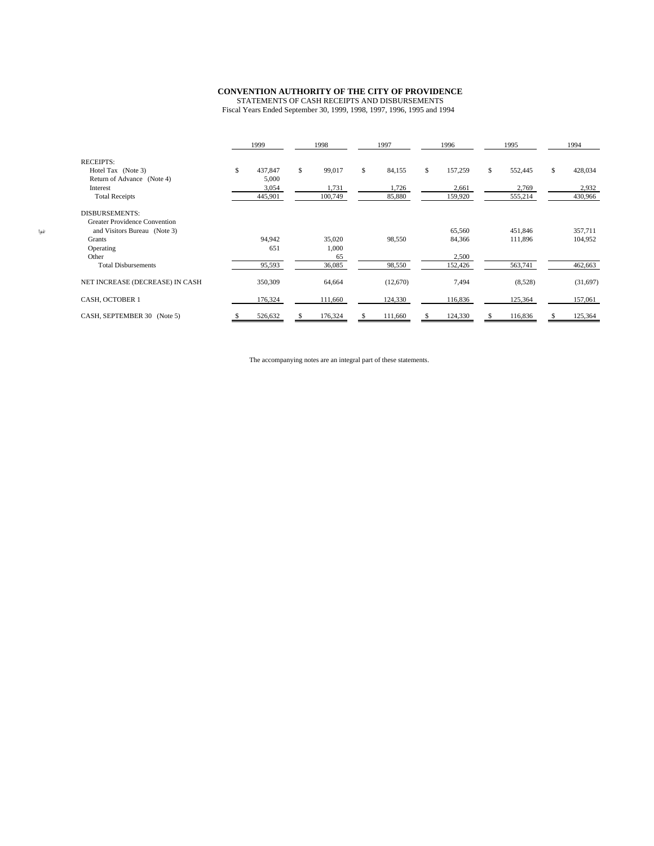#### **CONVENTION AUTHORITY OF THE CITY OF PROVIDENCE**

STATEMENTS OF CASH RECEIPTS AND DISBURSEMENTS Fiscal Years Ended September 30, 1999, 1998, 1997, 1996, 1995 and 1994

|                                      |    | 1999    | 1998 |         | 1997 |          | 1996 |         | 1995 |         | 1994 |          |
|--------------------------------------|----|---------|------|---------|------|----------|------|---------|------|---------|------|----------|
| <b>RECEIPTS:</b>                     |    |         |      |         |      |          |      |         |      |         |      |          |
| Hotel Tax (Note 3)                   | S. | 437,847 | S.   | 99,017  | S    | 84,155   | S.   | 157,259 | S    | 552,445 | S.   | 428,034  |
| Return of Advance (Note 4)           |    | 5,000   |      |         |      |          |      |         |      |         |      |          |
| Interest                             |    | 3,054   |      | 1,731   |      | 1,726    |      | 2,661   |      | 2,769   |      | 2,932    |
| <b>Total Receipts</b>                |    | 445,901 |      | 100,749 |      | 85,880   |      | 159,920 |      | 555,214 |      | 430,966  |
| <b>DISBURSEMENTS:</b>                |    |         |      |         |      |          |      |         |      |         |      |          |
| <b>Greater Providence Convention</b> |    |         |      |         |      |          |      |         |      |         |      |          |
| and Visitors Bureau (Note 3)         |    |         |      |         |      |          |      | 65,560  |      | 451,846 |      | 357,711  |
| Grants                               |    | 94,942  |      | 35,020  |      | 98,550   |      | 84,366  |      | 111,896 |      | 104,952  |
| Operating                            |    | 651     |      | 1,000   |      |          |      |         |      |         |      |          |
| Other                                |    |         |      | 65      |      |          |      | 2,500   |      |         |      |          |
| <b>Total Disbursements</b>           |    | 95,593  |      | 36,085  |      | 98,550   |      | 152,426 |      | 563,741 |      | 462,663  |
| NET INCREASE (DECREASE) IN CASH      |    | 350,309 |      | 64,664  |      | (12,670) |      | 7,494   |      | (8,528) |      | (31,697) |
| CASH, OCTOBER 1                      |    | 176,324 |      | 111,660 |      | 124,330  |      | 116,836 |      | 125,364 |      | 157,061  |
| CASH, SEPTEMBER 30 (Note 5)          |    | 526,632 |      | 176,324 |      | 111,660  |      | 124,330 |      | 116,836 |      | 125,364  |

The accompanying notes are an integral part of these statements.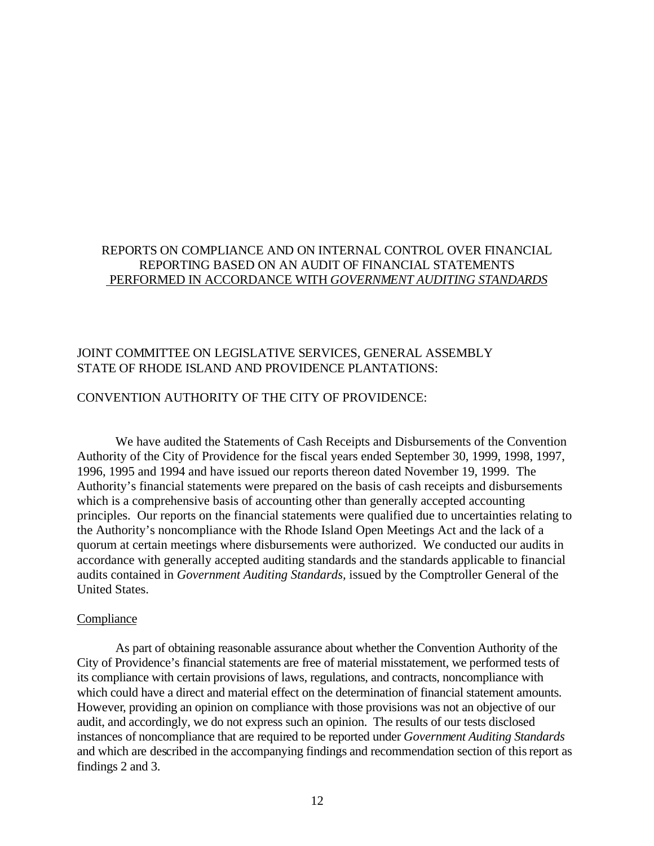#### REPORTS ON COMPLIANCE AND ON INTERNAL CONTROL OVER FINANCIAL REPORTING BASED ON AN AUDIT OF FINANCIAL STATEMENTS PERFORMED IN ACCORDANCE WITH GOVERNMENT AUDITING STANDARDS

### JOINT COMMITTEE ON LEGISLATIVE SERVICES, GENERAL ASSEMBLY STATE OF RHODE ISLAND AND PROVIDENCE PLANTATIONS:

#### CONVENTION AUTHORITY OF THE CITY OF PROVIDENCE:

We have audited the Statements of Cash Receipts and Disbursements of the Convention Authority of the City of Providence for the fiscal years ended September 30, 1999, 1998, 1997, 1996, 1995 and 1994 and have issued our reports thereon dated November 19, 1999. The Authority's financial statements were prepared on the basis of cash receipts and disbursements which is a comprehensive basis of accounting other than generally accepted accounting principles. Our reports on the financial statements were qualified due to uncertainties relating to the Authority's noncompliance with the Rhode Island Open Meetings Act and the lack of a quorum at certain meetings where disbursements were authorized. We conducted our audits in accordance with generally accepted auditing standards and the standards applicable to financial audits contained in *Government Auditing Standards,* issued by the Comptroller General of the United States.

#### **Compliance**

As part of obtaining reasonable assurance about whether the Convention Authority of the City of Providence's financial statements are free of material misstatement, we performed tests of its compliance with certain provisions of laws, regulations, and contracts, noncompliance with which could have a direct and material effect on the determination of financial statement amounts. However, providing an opinion on compliance with those provisions was not an objective of our audit, and accordingly, we do not express such an opinion. The results of our tests disclosed instances of noncompliance that are required to be reported under *Government Auditing Standards* and which are described in the accompanying findings and recommendation section of this report as findings 2 and 3.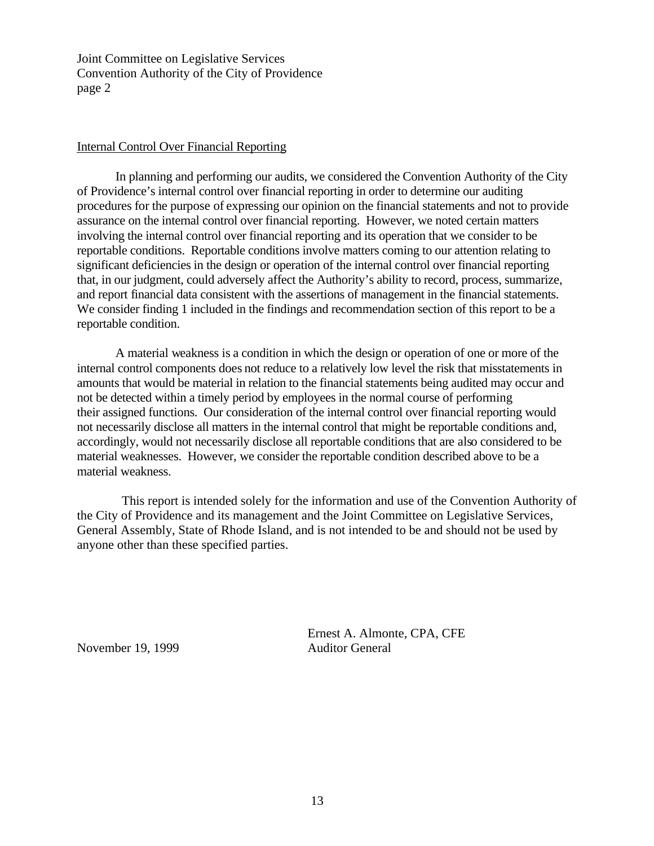Joint Committee on Legislative Services Convention Authority of the City of Providence page 2

#### Internal Control Over Financial Reporting

In planning and performing our audits, we considered the Convention Authority of the City of Providence's internal control over financial reporting in order to determine our auditing procedures for the purpose of expressing our opinion on the financial statements and not to provide assurance on the internal control over financial reporting. However, we noted certain matters involving the internal control over financial reporting and its operation that we consider to be reportable conditions. Reportable conditions involve matters coming to our attention relating to significant deficiencies in the design or operation of the internal control over financial reporting that, in our judgment, could adversely affect the Authority's ability to record, process, summarize, and report financial data consistent with the assertions of management in the financial statements. We consider finding 1 included in the findings and recommendation section of this report to be a reportable condition.

A material weakness is a condition in which the design or operation of one or more of the internal control components does not reduce to a relatively low level the risk that misstatements in amounts that would be material in relation to the financial statements being audited may occur and not be detected within a timely period by employees in the normal course of performing their assigned functions. Our consideration of the internal control over financial reporting would not necessarily disclose all matters in the internal control that might be reportable conditions and, accordingly, would not necessarily disclose all reportable conditions that are also considered to be material weaknesses. However, we consider the reportable condition described above to be a material weakness.

 This report is intended solely for the information and use of the Convention Authority of the City of Providence and its management and the Joint Committee on Legislative Services, General Assembly, State of Rhode Island, and is not intended to be and should not be used by anyone other than these specified parties.

November 19, 1999 Auditor General

Ernest A. Almonte, CPA, CFE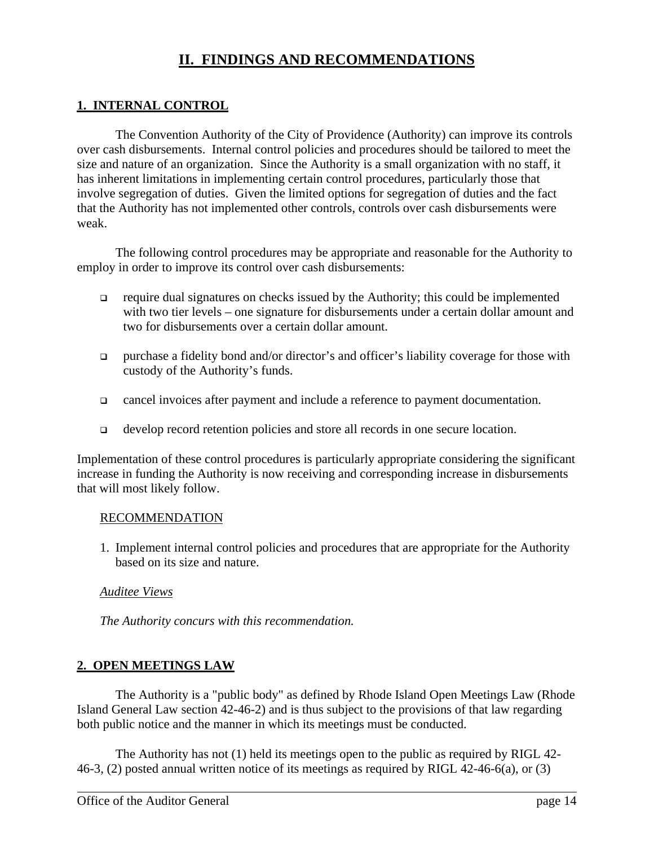# **II. FINDINGS AND RECOMMENDATIONS**

# **1. INTERNAL CONTROL**

The Convention Authority of the City of Providence (Authority) can improve its controls over cash disbursements. Internal control policies and procedures should be tailored to meet the size and nature of an organization. Since the Authority is a small organization with no staff, it has inherent limitations in implementing certain control procedures, particularly those that involve segregation of duties. Given the limited options for segregation of duties and the fact that the Authority has not implemented other controls, controls over cash disbursements were weak.

The following control procedures may be appropriate and reasonable for the Authority to employ in order to improve its control over cash disbursements:

- $\Box$  require dual signatures on checks issued by the Authority; this could be implemented with two tier levels – one signature for disbursements under a certain dollar amount and two for disbursements over a certain dollar amount.
- purchase a fidelity bond and/or director's and officer's liability coverage for those with custody of the Authority's funds.
- <sup>q</sup> cancel invoices after payment and include a reference to payment documentation.
- <sup>q</sup> develop record retention policies and store all records in one secure location.

Implementation of these control procedures is particularly appropriate considering the significant increase in funding the Authority is now receiving and corresponding increase in disbursements that will most likely follow.

### RECOMMENDATION

1. Implement internal control policies and procedures that are appropriate for the Authority based on its size and nature.

### *Auditee Views*

*The Authority concurs with this recommendation.*

# **2. OPEN MEETINGS LAW**

The Authority is a "public body" as defined by Rhode Island Open Meetings Law (Rhode Island General Law section 42-46-2) and is thus subject to the provisions of that law regarding both public notice and the manner in which its meetings must be conducted.

The Authority has not (1) held its meetings open to the public as required by RIGL 42- 46-3, (2) posted annual written notice of its meetings as required by RIGL 42-46-6(a), or (3)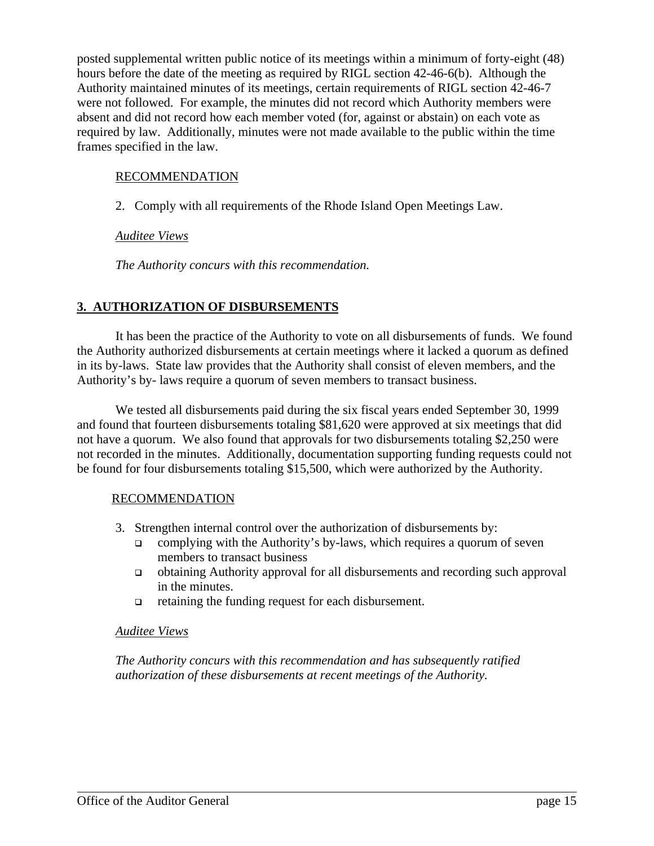posted supplemental written public notice of its meetings within a minimum of forty-eight (48) hours before the date of the meeting as required by RIGL section 42-46-6(b). Although the Authority maintained minutes of its meetings, certain requirements of RIGL section 42-46-7 were not followed. For example, the minutes did not record which Authority members were absent and did not record how each member voted (for, against or abstain) on each vote as required by law. Additionally, minutes were not made available to the public within the time frames specified in the law.

# RECOMMENDATION

2. Comply with all requirements of the Rhode Island Open Meetings Law.

# *Auditee Views*

*The Authority concurs with this recommendation.*

# **3. AUTHORIZATION OF DISBURSEMENTS**

It has been the practice of the Authority to vote on all disbursements of funds. We found the Authority authorized disbursements at certain meetings where it lacked a quorum as defined in its by-laws. State law provides that the Authority shall consist of eleven members, and the Authority's by- laws require a quorum of seven members to transact business.

We tested all disbursements paid during the six fiscal years ended September 30, 1999 and found that fourteen disbursements totaling \$81,620 were approved at six meetings that did not have a quorum. We also found that approvals for two disbursements totaling \$2,250 were not recorded in the minutes. Additionally, documentation supporting funding requests could not be found for four disbursements totaling \$15,500, which were authorized by the Authority.

### RECOMMENDATION

- 3. Strengthen internal control over the authorization of disbursements by:
	- complying with the Authority's by-laws, which requires a quorum of seven members to transact business
	- <sup>q</sup> obtaining Authority approval for all disbursements and recording such approval in the minutes.
	- $\Box$  retaining the funding request for each disbursement.

### *Auditee Views*

*The Authority concurs with this recommendation and has subsequently ratified authorization of these disbursements at recent meetings of the Authority.*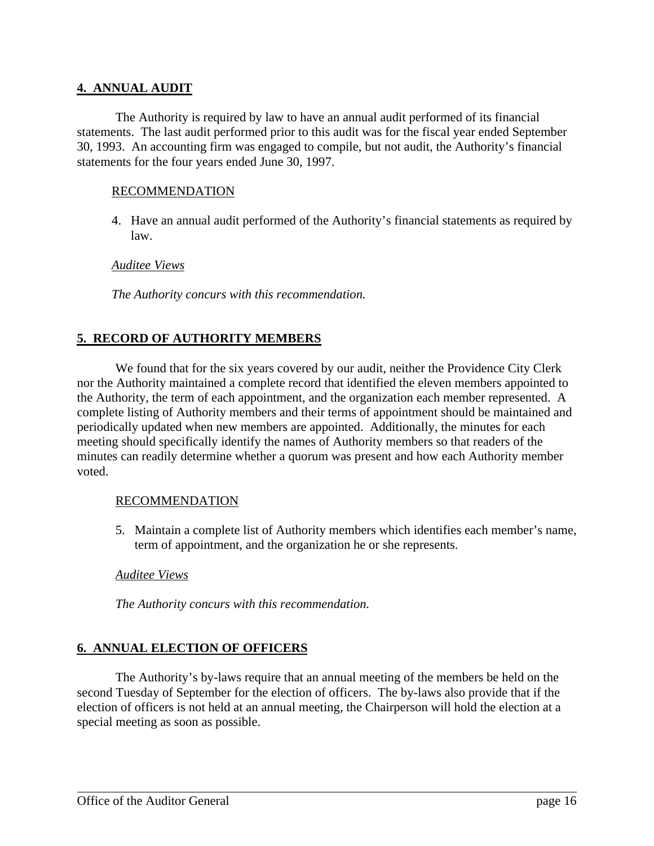# **4. ANNUAL AUDIT**

The Authority is required by law to have an annual audit performed of its financial statements. The last audit performed prior to this audit was for the fiscal year ended September 30, 1993. An accounting firm was engaged to compile, but not audit, the Authority's financial statements for the four years ended June 30, 1997.

### RECOMMENDATION

4. Have an annual audit performed of the Authority's financial statements as required by law.

#### *Auditee Views*

*The Authority concurs with this recommendation.*

# **5. RECORD OF AUTHORITY MEMBERS**

We found that for the six years covered by our audit, neither the Providence City Clerk nor the Authority maintained a complete record that identified the eleven members appointed to the Authority, the term of each appointment, and the organization each member represented. A complete listing of Authority members and their terms of appointment should be maintained and periodically updated when new members are appointed. Additionally, the minutes for each meeting should specifically identify the names of Authority members so that readers of the minutes can readily determine whether a quorum was present and how each Authority member voted.

### RECOMMENDATION

5. Maintain a complete list of Authority members which identifies each member's name, term of appointment, and the organization he or she represents.

### *Auditee Views*

*The Authority concurs with this recommendation.*

### **6. ANNUAL ELECTION OF OFFICERS**

The Authority's by-laws require that an annual meeting of the members be held on the second Tuesday of September for the election of officers. The by-laws also provide that if the election of officers is not held at an annual meeting, the Chairperson will hold the election at a special meeting as soon as possible.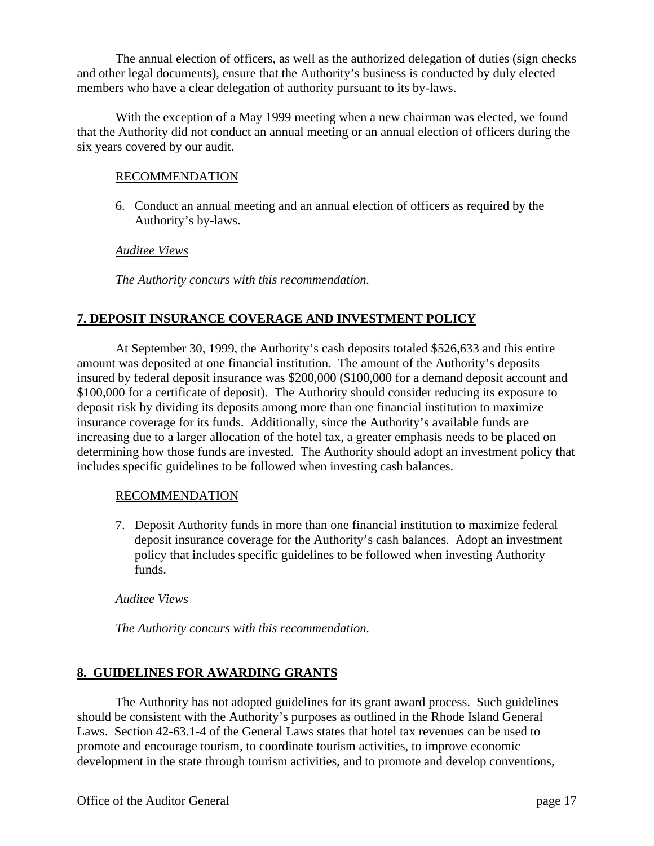The annual election of officers, as well as the authorized delegation of duties (sign checks and other legal documents), ensure that the Authority's business is conducted by duly elected members who have a clear delegation of authority pursuant to its by-laws.

With the exception of a May 1999 meeting when a new chairman was elected, we found that the Authority did not conduct an annual meeting or an annual election of officers during the six years covered by our audit.

# RECOMMENDATION

6. Conduct an annual meeting and an annual election of officers as required by the Authority's by-laws.

# *Auditee Views*

*The Authority concurs with this recommendation.*

# **7. DEPOSIT INSURANCE COVERAGE AND INVESTMENT POLICY**

At September 30, 1999, the Authority's cash deposits totaled \$526,633 and this entire amount was deposited at one financial institution. The amount of the Authority's deposits insured by federal deposit insurance was \$200,000 (\$100,000 for a demand deposit account and \$100,000 for a certificate of deposit). The Authority should consider reducing its exposure to deposit risk by dividing its deposits among more than one financial institution to maximize insurance coverage for its funds. Additionally, since the Authority's available funds are increasing due to a larger allocation of the hotel tax, a greater emphasis needs to be placed on determining how those funds are invested. The Authority should adopt an investment policy that includes specific guidelines to be followed when investing cash balances.

# RECOMMENDATION

7. Deposit Authority funds in more than one financial institution to maximize federal deposit insurance coverage for the Authority's cash balances. Adopt an investment policy that includes specific guidelines to be followed when investing Authority funds.

# *Auditee Views*

*The Authority concurs with this recommendation.*

# **8. GUIDELINES FOR AWARDING GRANTS**

The Authority has not adopted guidelines for its grant award process. Such guidelines should be consistent with the Authority's purposes as outlined in the Rhode Island General Laws. Section 42-63.1-4 of the General Laws states that hotel tax revenues can be used to promote and encourage tourism, to coordinate tourism activities, to improve economic development in the state through tourism activities, and to promote and develop conventions,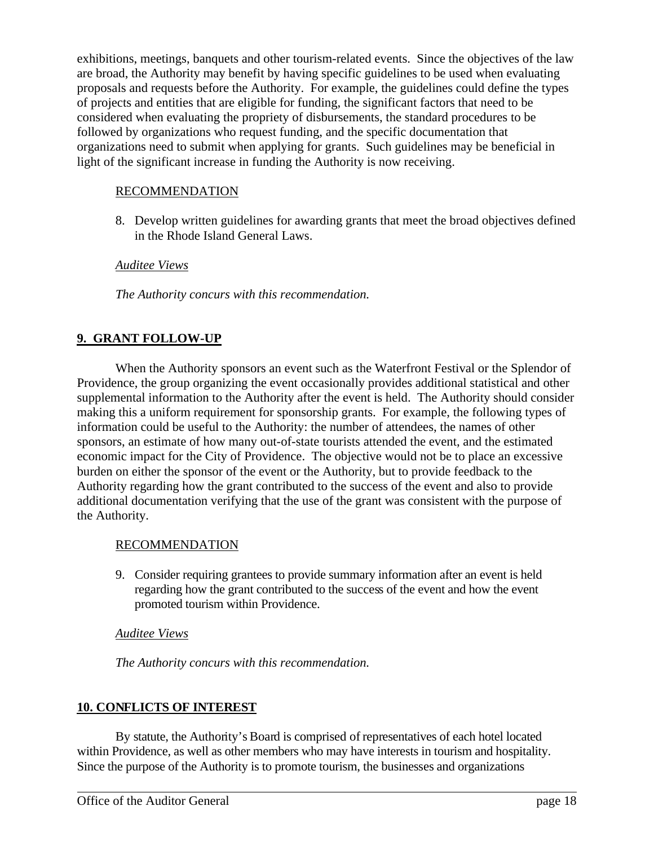exhibitions, meetings, banquets and other tourism-related events. Since the objectives of the law are broad, the Authority may benefit by having specific guidelines to be used when evaluating proposals and requests before the Authority. For example, the guidelines could define the types of projects and entities that are eligible for funding, the significant factors that need to be considered when evaluating the propriety of disbursements, the standard procedures to be followed by organizations who request funding, and the specific documentation that organizations need to submit when applying for grants. Such guidelines may be beneficial in light of the significant increase in funding the Authority is now receiving.

# RECOMMENDATION

8. Develop written guidelines for awarding grants that meet the broad objectives defined in the Rhode Island General Laws.

# *Auditee Views*

*The Authority concurs with this recommendation.*

# **9. GRANT FOLLOW-UP**

When the Authority sponsors an event such as the Waterfront Festival or the Splendor of Providence, the group organizing the event occasionally provides additional statistical and other supplemental information to the Authority after the event is held. The Authority should consider making this a uniform requirement for sponsorship grants. For example, the following types of information could be useful to the Authority: the number of attendees, the names of other sponsors, an estimate of how many out-of-state tourists attended the event, and the estimated economic impact for the City of Providence. The objective would not be to place an excessive burden on either the sponsor of the event or the Authority, but to provide feedback to the Authority regarding how the grant contributed to the success of the event and also to provide additional documentation verifying that the use of the grant was consistent with the purpose of the Authority.

### RECOMMENDATION

9. Consider requiring grantees to provide summary information after an event is held regarding how the grant contributed to the success of the event and how the event promoted tourism within Providence.

### *Auditee Views*

*The Authority concurs with this recommendation.*

### **10. CONFLICTS OF INTEREST**

By statute, the Authority's Board is comprised of representatives of each hotel located within Providence, as well as other members who may have interests in tourism and hospitality. Since the purpose of the Authority is to promote tourism, the businesses and organizations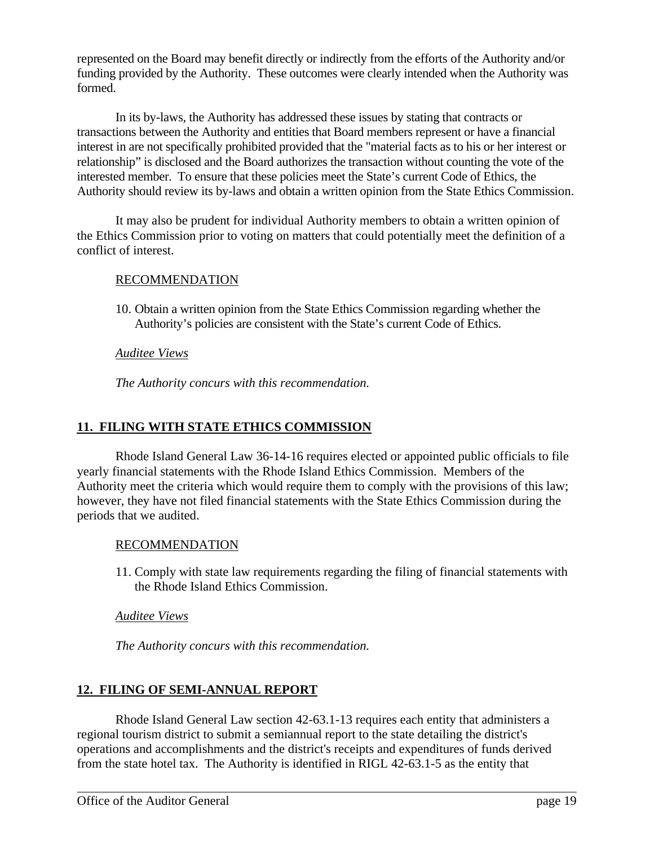represented on the Board may benefit directly or indirectly from the efforts of the Authority and/or funding provided by the Authority. These outcomes were clearly intended when the Authority was formed.

In its by-laws , the Authority has addressed these is sues by stating that contractsor transactions between the Authority and entities that Board members represent or have a financial interest in are not specifically prohibited provided that the "material facts as to his or her interest or relationship" is disclosed and the Board authorizes the transaction without counting the vote of the interested member. To ensure that these policies meet the State's current Code of Ethics, the Authority should review its by-laws and obtain a written opinion from the State Ethics Commission.

It may also be prudent for individual Authority members to obtain a written opinion of the Ethics Commission prior to voting on matters that could potentially meet the definition of a conflict of interest.

# RECOMMENDATION

10. Obtain a written opinion from the State Ethics Commission regarding whether the Authority's policies are consistent with the State's current Code of Ethics.

# *Auditee Views*

*The Authority concurs with this recommendation.*

# **11. FILING WITH STATE ETHICS COMMISSION**

Rhode Island General Law 36-14-16 requires elected or appointed public officials to file yearly financial statements with the Rhode Island Ethics Commission. Members of the Authority meet the criteria which would require them to comply with the provisions of this law; however, they have not filed financial statements with the State Ethics Commission during the periods that we audited.

# RECOMMENDATION

11. Comply with state law requirements regarding the filing of financial statements with the Rhode Island Ethics Commission.

# *Auditee Views*

*The Authority concurs with this recommendation.*

# **12. FILING OF SEMI-ANNUAL REPORT**

Rhode Island General Law section 42-63.1-13 requires each entity that administers a regional tourism district to submit a semiannual report to the state detailing the district's operations and accomplishments and the district's receipts and expenditures of funds derived from the state hotel tax. The Authority is identified in RIGL 42-63.1-5 as the entity that